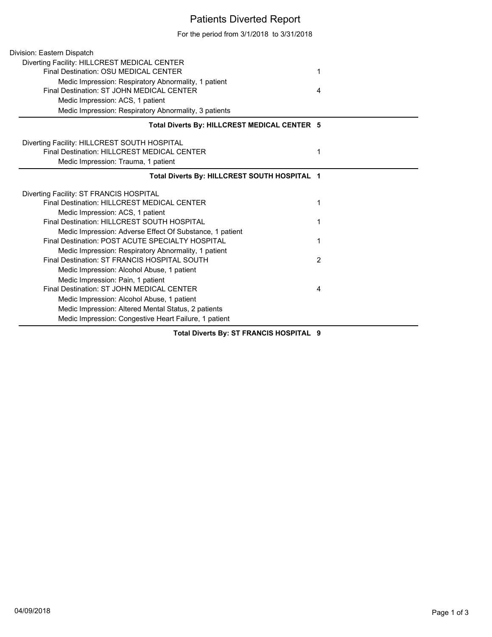## Patients Diverted Report

For the period from 3/1/2018 to 3/31/2018

| Division: Eastern Dispatch                               |   |
|----------------------------------------------------------|---|
| Diverting Facility: HILLCREST MEDICAL CENTER             |   |
| Final Destination: OSU MEDICAL CENTER                    | 1 |
| Medic Impression: Respiratory Abnormality, 1 patient     |   |
| Final Destination: ST JOHN MEDICAL CENTER                | 4 |
| Medic Impression: ACS, 1 patient                         |   |
| Medic Impression: Respiratory Abnormality, 3 patients    |   |
| Total Diverts By: HILLCREST MEDICAL CENTER 5             |   |
| Diverting Facility: HILLCREST SOUTH HOSPITAL             |   |
| Final Destination: HILLCREST MEDICAL CENTER              | 1 |
| Medic Impression: Trauma, 1 patient                      |   |
| Total Diverts By: HILLCREST SOUTH HOSPITAL 1             |   |
| Diverting Facility: ST FRANCIS HOSPITAL                  |   |
| Final Destination: HILLCREST MEDICAL CENTER              | 1 |
| Medic Impression: ACS, 1 patient                         |   |
| Final Destination: HILLCREST SOUTH HOSPITAL              | 1 |
| Medic Impression: Adverse Effect Of Substance, 1 patient |   |
| Final Destination: POST ACUTE SPECIALTY HOSPITAL         | 1 |
| Medic Impression: Respiratory Abnormality, 1 patient     |   |
| Final Destination: ST FRANCIS HOSPITAL SOUTH             | 2 |
| Medic Impression: Alcohol Abuse, 1 patient               |   |
| Medic Impression: Pain, 1 patient                        |   |
| Final Destination: ST JOHN MEDICAL CENTER                | 4 |
| Medic Impression: Alcohol Abuse, 1 patient               |   |
| Medic Impression: Altered Mental Status, 2 patients      |   |
| Medic Impression: Congestive Heart Failure, 1 patient    |   |

**Total Diverts By: ST FRANCIS HOSPITAL 9**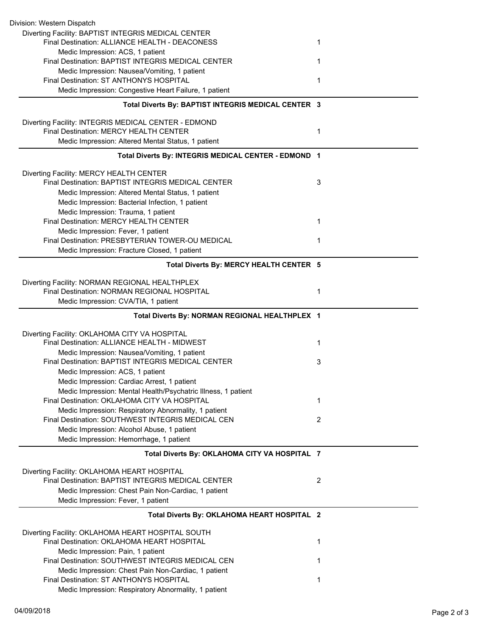| Division: Western Dispatch                                                                            |   |
|-------------------------------------------------------------------------------------------------------|---|
| Diverting Facility: BAPTIST INTEGRIS MEDICAL CENTER<br>Final Destination: ALLIANCE HEALTH - DEACONESS | 1 |
| Medic Impression: ACS, 1 patient<br>Final Destination: BAPTIST INTEGRIS MEDICAL CENTER                |   |
| Medic Impression: Nausea/Vomiting, 1 patient                                                          | 1 |
| Final Destination: ST ANTHONYS HOSPITAL                                                               | 1 |
| Medic Impression: Congestive Heart Failure, 1 patient                                                 |   |
| Total Diverts By: BAPTIST INTEGRIS MEDICAL CENTER 3                                                   |   |
| Diverting Facility: INTEGRIS MEDICAL CENTER - EDMOND                                                  |   |
| Final Destination: MERCY HEALTH CENTER                                                                | 1 |
| Medic Impression: Altered Mental Status, 1 patient                                                    |   |
| Total Diverts By: INTEGRIS MEDICAL CENTER - EDMOND 1                                                  |   |
| Diverting Facility: MERCY HEALTH CENTER                                                               |   |
| Final Destination: BAPTIST INTEGRIS MEDICAL CENTER                                                    | 3 |
| Medic Impression: Altered Mental Status, 1 patient                                                    |   |
| Medic Impression: Bacterial Infection, 1 patient                                                      |   |
| Medic Impression: Trauma, 1 patient                                                                   |   |
| Final Destination: MERCY HEALTH CENTER                                                                | 1 |
| Medic Impression: Fever, 1 patient<br>Final Destination: PRESBYTERIAN TOWER-OU MEDICAL                | 1 |
| Medic Impression: Fracture Closed, 1 patient                                                          |   |
| Total Diverts By: MERCY HEALTH CENTER 5                                                               |   |
| Diverting Facility: NORMAN REGIONAL HEALTHPLEX                                                        |   |
| Final Destination: NORMAN REGIONAL HOSPITAL                                                           | 1 |
| Medic Impression: CVA/TIA, 1 patient                                                                  |   |
| Total Diverts By: NORMAN REGIONAL HEALTHPLEX 1                                                        |   |
|                                                                                                       |   |
|                                                                                                       |   |
| Diverting Facility: OKLAHOMA CITY VA HOSPITAL<br>Final Destination: ALLIANCE HEALTH - MIDWEST         | 1 |
| Medic Impression: Nausea/Vomiting, 1 patient                                                          |   |
| Final Destination: BAPTIST INTEGRIS MEDICAL CENTER                                                    | 3 |
| Medic Impression: ACS, 1 patient                                                                      |   |
| Medic Impression: Cardiac Arrest, 1 patient                                                           |   |
| Medic Impression: Mental Health/Psychatric Illness, 1 patient                                         |   |
| Final Destination: OKLAHOMA CITY VA HOSPITAL                                                          | 1 |
| Medic Impression: Respiratory Abnormality, 1 patient                                                  |   |
| Final Destination: SOUTHWEST INTEGRIS MEDICAL CEN                                                     | 2 |
| Medic Impression: Alcohol Abuse, 1 patient                                                            |   |
| Medic Impression: Hemorrhage, 1 patient<br>Total Diverts By: OKLAHOMA CITY VA HOSPITAL 7              |   |
|                                                                                                       |   |
| Diverting Facility: OKLAHOMA HEART HOSPITAL<br>Final Destination: BAPTIST INTEGRIS MEDICAL CENTER     | 2 |
| Medic Impression: Chest Pain Non-Cardiac, 1 patient                                                   |   |
| Medic Impression: Fever, 1 patient                                                                    |   |
| Total Diverts By: OKLAHOMA HEART HOSPITAL 2                                                           |   |
| Diverting Facility: OKLAHOMA HEART HOSPITAL SOUTH                                                     |   |
| Final Destination: OKLAHOMA HEART HOSPITAL                                                            | 1 |
| Medic Impression: Pain, 1 patient                                                                     |   |
| Final Destination: SOUTHWEST INTEGRIS MEDICAL CEN                                                     | 1 |
| Medic Impression: Chest Pain Non-Cardiac, 1 patient                                                   |   |
| Final Destination: ST ANTHONYS HOSPITAL<br>Medic Impression: Respiratory Abnormality, 1 patient       | 1 |